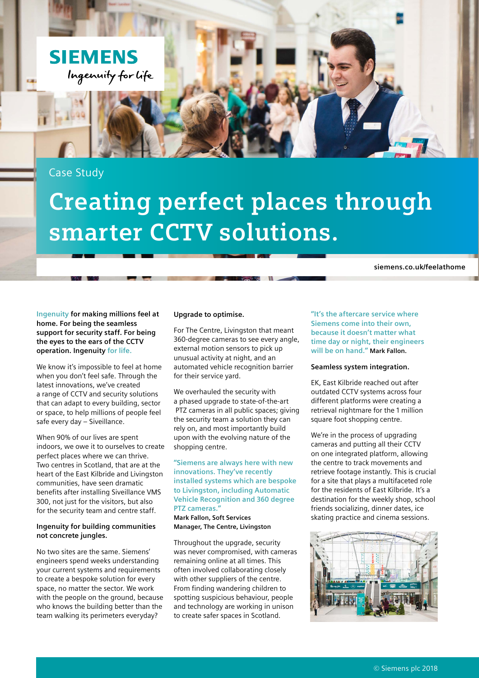

Case Study

# **Creating perfect places through smarter CCTV solutions.**

**siemens.co.uk/feelathome**

**Ingenuity for making millions feel at home. For being the seamless support for security staff. For being the eyes to the ears of the CCTV operation. Ingenuity for life.**

We know it's impossible to feel at home when you don't feel safe. Through the latest innovations, we've created a range of CCTV and security solutions that can adapt to every building, sector or space, to help millions of people feel safe every day – Siveillance.

When 90% of our lives are spent indoors, we owe it to ourselves to create perfect places where we can thrive. Two centres in Scotland, that are at the heart of the East Kilbride and Livingston communities, have seen dramatic benefits after installing Siveillance VMS 300, not just for the visitors, but also for the security team and centre staff.

## **Ingenuity for building communities not concrete jungles.**

No two sites are the same. Siemens' engineers spend weeks understanding your current systems and requirements to create a bespoke solution for every space, no matter the sector. We work with the people on the ground, because who knows the building better than the team walking its perimeters everyday?

#### **Upgrade to optimise.**

For The Centre, Livingston that meant 360-degree cameras to see every angle, external motion sensors to pick up unusual activity at night, and an automated vehicle recognition barrier for their service yard.

We overhauled the security with a phased upgrade to state-of-the-art PTZ cameras in all public spaces; giving the security team a solution they can rely on, and most importantly build upon with the evolving nature of the shopping centre.

**"Siemens are always here with new innovations. They've recently installed systems which are bespoke to Livingston, including Automatic Vehicle Recognition and 360 degree PTZ cameras."**

**Mark Fallon, Soft Services Manager, The Centre, Livingston**

Throughout the upgrade, security was never compromised, with cameras remaining online at all times. This often involved collaborating closely with other suppliers of the centre. From finding wandering children to spotting suspicious behaviour, people and technology are working in unison to create safer spaces in Scotland.

**"It's the aftercare service where Siemens come into their own, because it doesn't matter what time day or night, their engineers will be on hand." Mark Fallon.**

### **Seamless system integration.**

EK, East Kilbride reached out after outdated CCTV systems across four different platforms were creating a retrieval nightmare for the 1 million square foot shopping centre.

We're in the process of upgrading cameras and putting all their CCTV on one integrated platform, allowing the centre to track movements and retrieve footage instantly. This is crucial for a site that plays a multifaceted role for the residents of East Kilbride. It's a destination for the weekly shop, school friends socializing, dinner dates, ice skating practice and cinema sessions.